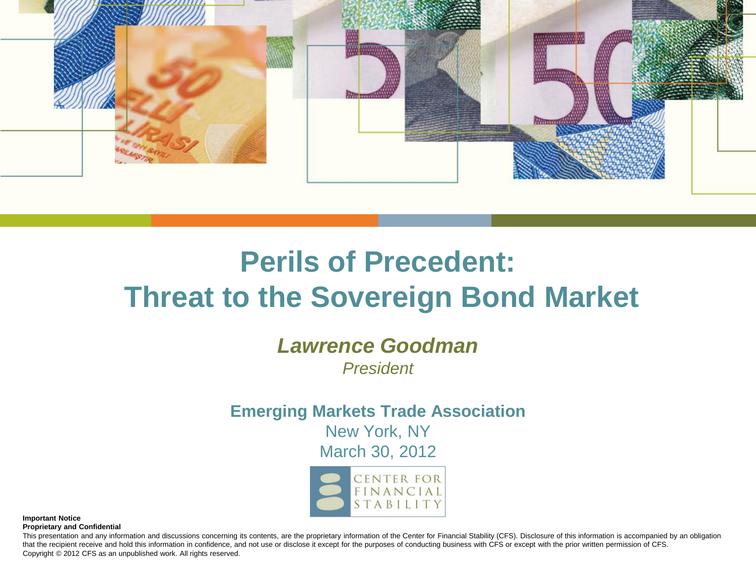

# **Perils of Precedent: Threat to the Sovereign Bond Market**

### *Lawrence Goodman*

*President*

#### **Emerging Markets Trade Association**

New York, NY

March 30, 2012



**Important Notice Proprietary and Confidential**

This presentation and any information and discussions concerning its contents, are the proprietary information of the Center for Financial Stability (CFS). Disclosure of this information is accompanied by an obligation that the recipient receive and hold this information in confidence, and not use or disclose it except for the purposes of conducting business with CFS or except with the prior written permission of CFS. Copyright © 2012 CFS as an unpublished work. All rights reserved.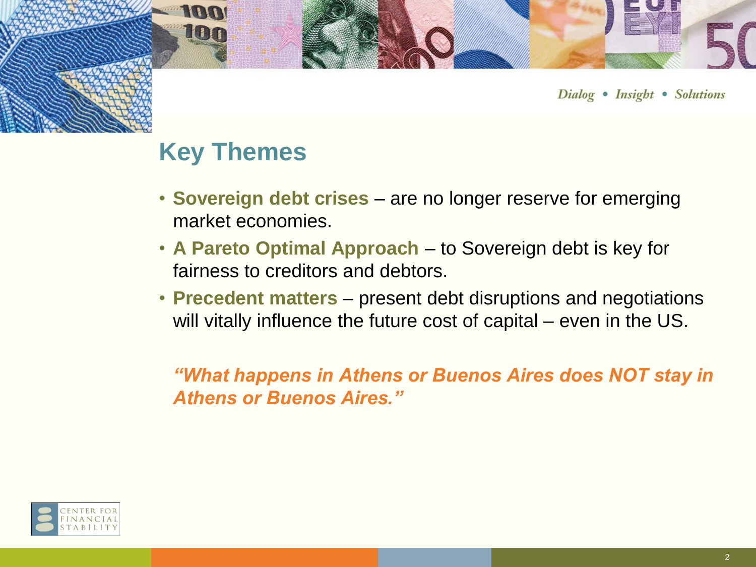

### **Key Themes**

**100** 

100

- **Sovereign debt crises**  are no longer reserve for emerging market economies.
- **A Pareto Optimal Approach**  to Sovereign debt is key for fairness to creditors and debtors.
- **Precedent matters** present debt disruptions and negotiations will vitally influence the future cost of capital – even in the US.

*"What happens in Athens or Buenos Aires does NOT stay in Athens or Buenos Aires."*

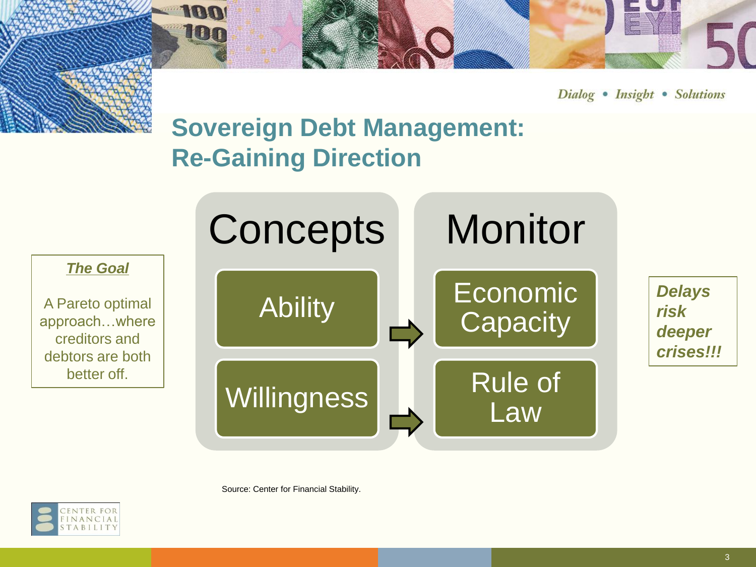

# **Sovereign Debt Management: Re-Gaining Direction**

**100** 

100



Source: Center for Financial Stability.

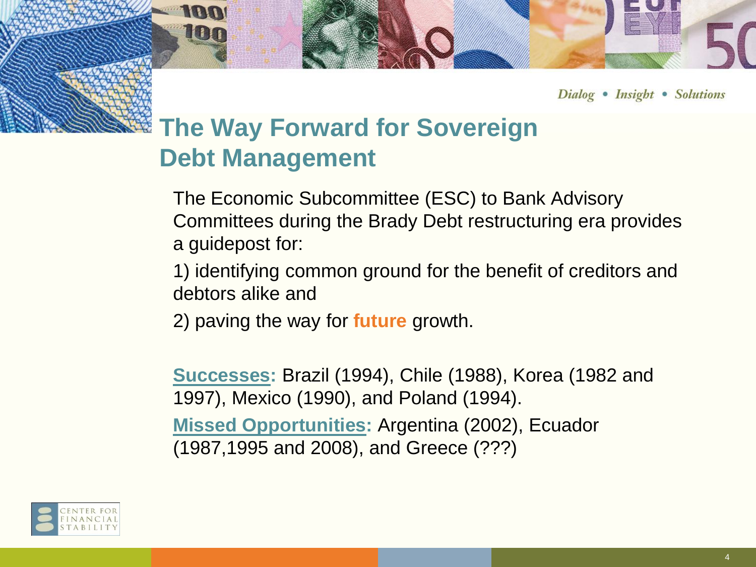

# **The Way Forward for Sovereign Debt Management**

**100** 

UOT

The Economic Subcommittee (ESC) to Bank Advisory Committees during the Brady Debt restructuring era provides a guidepost for:

1) identifying common ground for the benefit of creditors and debtors alike and

2) paving the way for **future** growth.

**Successes:** Brazil (1994), Chile (1988), Korea (1982 and 1997), Mexico (1990), and Poland (1994). **Missed Opportunities:** Argentina (2002), Ecuador

(1987,1995 and 2008), and Greece (???)

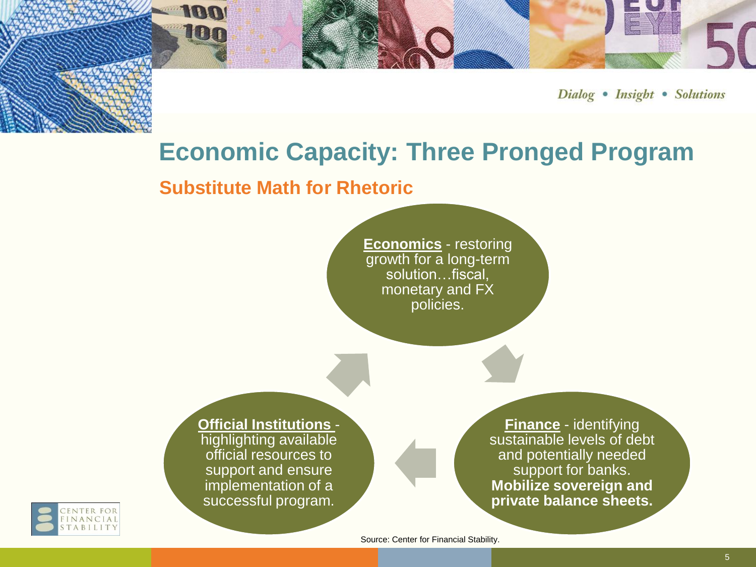## **Economic Capacity: Three Pronged Program**

#### **Substitute Math for Rhetoric**

**100** 

100

**Economics** - restoring growth for a long-term solution…fiscal, monetary and FX policies.

**Official Institutions**  highlighting available official resources to support and ensure implementation of a successful program.

**Finance** - identifying sustainable levels of debt and potentially needed support for banks. **Mobilize sovereign and private balance sheets.**



Source: Center for Financial Stability.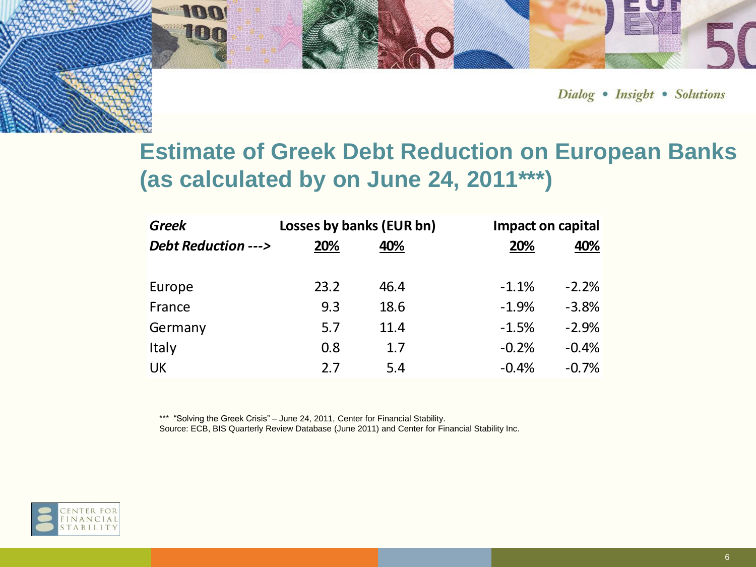

### **Estimate of Greek Debt Reduction on European Banks (as calculated by on June 24, 2011\*\*\*)**

| <b>Greek</b>                  | Losses by banks (EUR bn) |      |         | Impact on capital |  |
|-------------------------------|--------------------------|------|---------|-------------------|--|
| <b>Debt Reduction ---&gt;</b> | 20%                      | 40%  | 20%     | 40%               |  |
| Europe                        | 23.2                     | 46.4 | $-1.1%$ | $-2.2%$           |  |
| France                        | 9.3                      | 18.6 | $-1.9%$ | $-3.8%$           |  |
| Germany                       | 5.7                      | 11.4 | $-1.5%$ | $-2.9%$           |  |
| Italy                         | 0.8                      | 1.7  | $-0.2%$ | $-0.4%$           |  |
| <b>UK</b>                     | 2.7                      | 5.4  | $-0.4%$ | $-0.7%$           |  |

\*\*\* "Solving the Greek Crisis" – June 24, 2011, Center for Financial Stability.

Source: ECB, BIS Quarterly Review Database (June 2011) and Center for Financial Stability Inc.

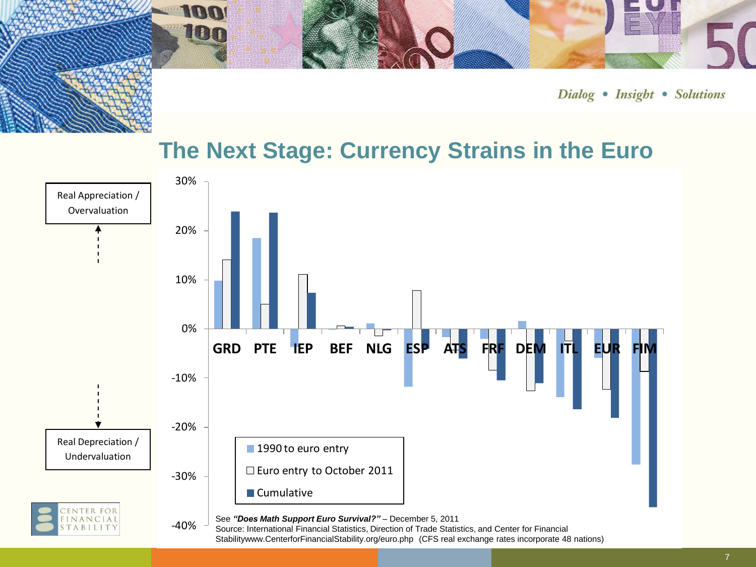### **The Next Stage: Currency Strains in the Euro**

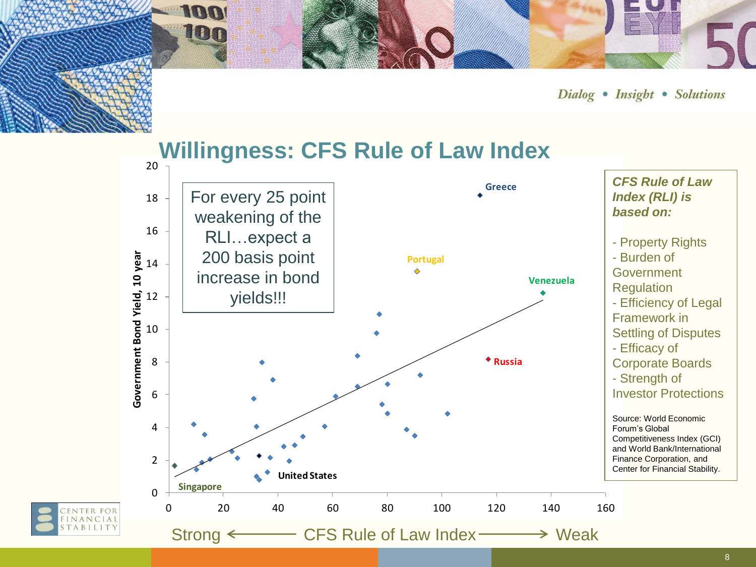

#### 20 **Willingness: CFS Rule of Law Index**

100

**HELL** 

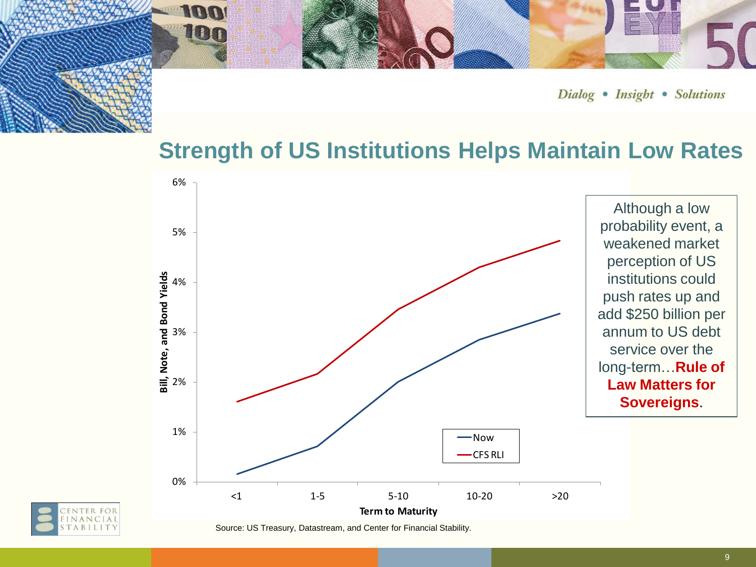### **Strength of US Institutions Helps Maintain Low Rates**





100

Source: US Treasury, Datastream, and Center for Financial Stability.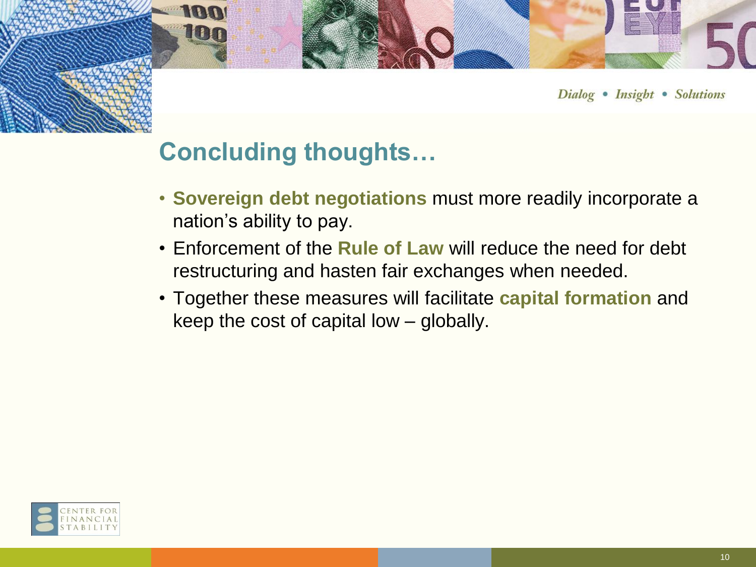

## **Concluding thoughts…**

**100** 

**HILLE** 

- **Sovereign debt negotiations** must more readily incorporate a nation's ability to pay.
- Enforcement of the **Rule of Law** will reduce the need for debt restructuring and hasten fair exchanges when needed.
- Together these measures will facilitate **capital formation** and keep the cost of capital low – globally.